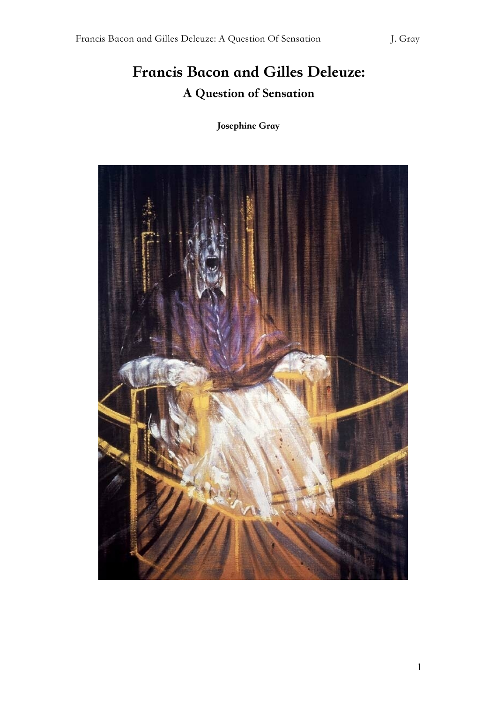# Francis Bacon and Gilles Deleuze: A Question of Sensation

Josephine Gray

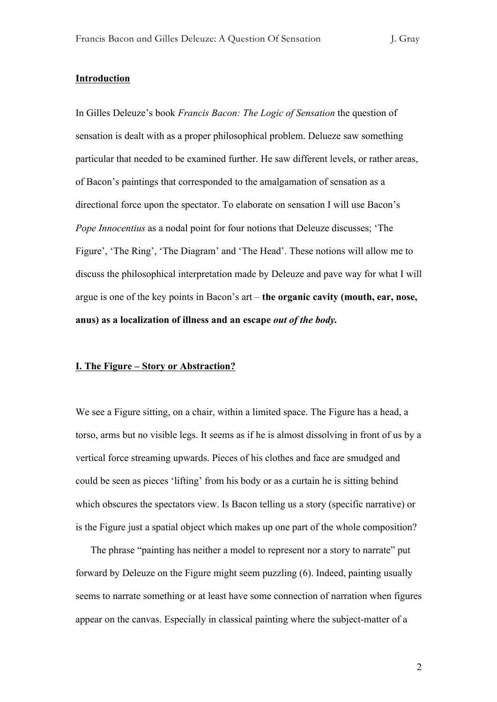# **Introduction**

In Gilles Deleuze's book *Francis Bacon: The Logic of Sensation* the question of sensation is dealt with as a proper philosophical problem. Delueze saw something particular that needed to be examined further. He saw different levels, or rather areas, of Bacon's paintings that corresponded to the amalgamation of sensation as a directional force upon the spectator. To elaborate on sensation I will use Bacon's *Pope Innocentius* as a nodal point for four notions that Deleuze discusses; 'The Figure', 'The Ring', 'The Diagram' and 'The Head'. These notions will allow me to discuss the philosophical interpretation made by Deleuze and pave way for what I will argue is one of the key points in Bacon's art – **the organic cavity (mouth, ear, nose, anus) as a localization of illness and an escape** *out of the body.*

# **I. The Figure – Story or Abstraction?**

We see a Figure sitting, on a chair, within a limited space. The Figure has a head, a torso, arms but no visible legs. It seems as if he is almost dissolving in front of us by a vertical force streaming upwards. Pieces of his clothes and face are smudged and could be seen as pieces 'lifting' from his body or as a curtain he is sitting behind which obscures the spectators view. Is Bacon telling us a story (specific narrative) or is the Figure just a spatial object which makes up one part of the whole composition?

The phrase "painting has neither a model to represent nor a story to narrate" put forward by Deleuze on the Figure might seem puzzling (6). Indeed, painting usually seems to narrate something or at least have some connection of narration when figures appear on the canvas. Especially in classical painting where the subject-matter of a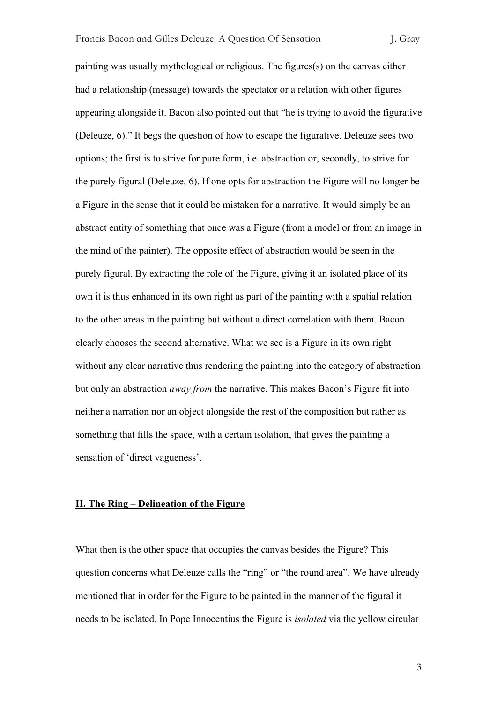painting was usually mythological or religious. The figures(s) on the canvas either had a relationship (message) towards the spectator or a relation with other figures appearing alongside it. Bacon also pointed out that "he is trying to avoid the figurative (Deleuze, 6)." It begs the question of how to escape the figurative. Deleuze sees two options; the first is to strive for pure form, i.e. abstraction or, secondly, to strive for the purely figural (Deleuze, 6). If one opts for abstraction the Figure will no longer be a Figure in the sense that it could be mistaken for a narrative. It would simply be an abstract entity of something that once was a Figure (from a model or from an image in the mind of the painter). The opposite effect of abstraction would be seen in the purely figural. By extracting the role of the Figure, giving it an isolated place of its own it is thus enhanced in its own right as part of the painting with a spatial relation to the other areas in the painting but without a direct correlation with them. Bacon clearly chooses the second alternative. What we see is a Figure in its own right without any clear narrative thus rendering the painting into the category of abstraction but only an abstraction *away from* the narrative. This makes Bacon's Figure fit into neither a narration nor an object alongside the rest of the composition but rather as something that fills the space, with a certain isolation, that gives the painting a sensation of 'direct vagueness'.

# **II. The Ring – Delineation of the Figure**

What then is the other space that occupies the canvas besides the Figure? This question concerns what Deleuze calls the "ring" or "the round area". We have already mentioned that in order for the Figure to be painted in the manner of the figural it needs to be isolated. In Pope Innocentius the Figure is *isolated* via the yellow circular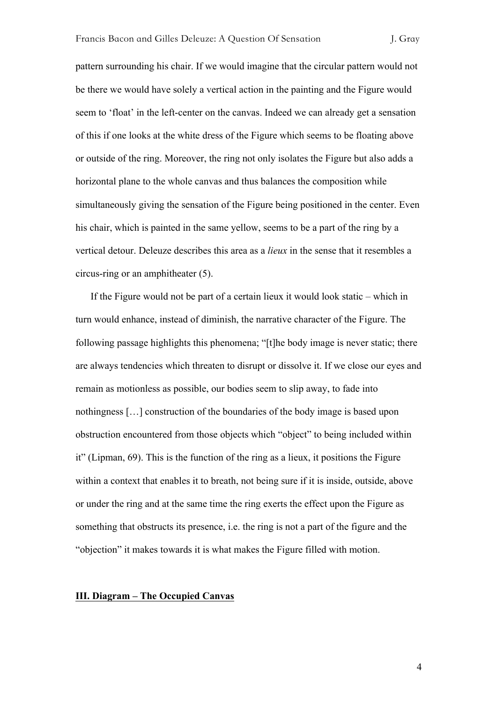pattern surrounding his chair. If we would imagine that the circular pattern would not be there we would have solely a vertical action in the painting and the Figure would seem to 'float' in the left-center on the canvas. Indeed we can already get a sensation of this if one looks at the white dress of the Figure which seems to be floating above or outside of the ring. Moreover, the ring not only isolates the Figure but also adds a horizontal plane to the whole canvas and thus balances the composition while simultaneously giving the sensation of the Figure being positioned in the center. Even his chair, which is painted in the same yellow, seems to be a part of the ring by a vertical detour. Deleuze describes this area as a *lieux* in the sense that it resembles a circus-ring or an amphitheater (5).

If the Figure would not be part of a certain lieux it would look static – which in turn would enhance, instead of diminish, the narrative character of the Figure. The following passage highlights this phenomena; "[t]he body image is never static; there are always tendencies which threaten to disrupt or dissolve it. If we close our eyes and remain as motionless as possible, our bodies seem to slip away, to fade into nothingness […] construction of the boundaries of the body image is based upon obstruction encountered from those objects which "object" to being included within it" (Lipman, 69). This is the function of the ring as a lieux, it positions the Figure within a context that enables it to breath, not being sure if it is inside, outside, above or under the ring and at the same time the ring exerts the effect upon the Figure as something that obstructs its presence, i.e. the ring is not a part of the figure and the "objection" it makes towards it is what makes the Figure filled with motion.

#### **III. Diagram – The Occupied Canvas**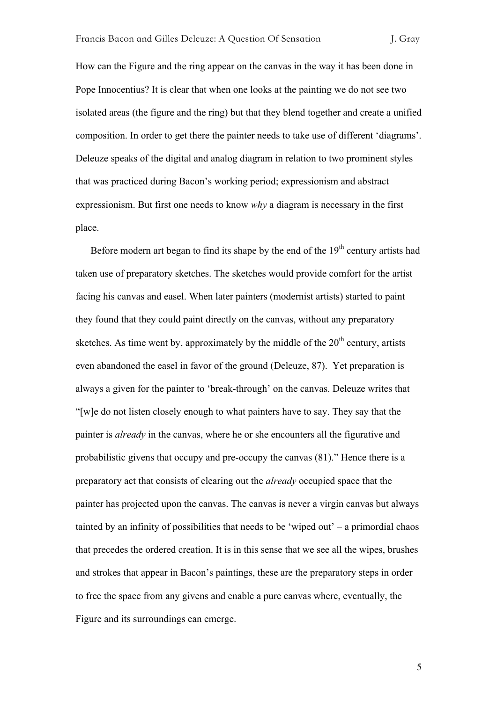How can the Figure and the ring appear on the canvas in the way it has been done in Pope Innocentius? It is clear that when one looks at the painting we do not see two isolated areas (the figure and the ring) but that they blend together and create a unified composition. In order to get there the painter needs to take use of different 'diagrams'. Deleuze speaks of the digital and analog diagram in relation to two prominent styles that was practiced during Bacon's working period; expressionism and abstract expressionism. But first one needs to know *why* a diagram is necessary in the first place.

Before modern art began to find its shape by the end of the  $19<sup>th</sup>$  century artists had taken use of preparatory sketches. The sketches would provide comfort for the artist facing his canvas and easel. When later painters (modernist artists) started to paint they found that they could paint directly on the canvas, without any preparatory sketches. As time went by, approximately by the middle of the  $20<sup>th</sup>$  century, artists even abandoned the easel in favor of the ground (Deleuze, 87). Yet preparation is always a given for the painter to 'break-through' on the canvas. Deleuze writes that "[w]e do not listen closely enough to what painters have to say. They say that the painter is *already* in the canvas, where he or she encounters all the figurative and probabilistic givens that occupy and pre-occupy the canvas (81)." Hence there is a preparatory act that consists of clearing out the *already* occupied space that the painter has projected upon the canvas. The canvas is never a virgin canvas but always tainted by an infinity of possibilities that needs to be 'wiped out' – a primordial chaos that precedes the ordered creation. It is in this sense that we see all the wipes, brushes and strokes that appear in Bacon's paintings, these are the preparatory steps in order to free the space from any givens and enable a pure canvas where, eventually, the Figure and its surroundings can emerge.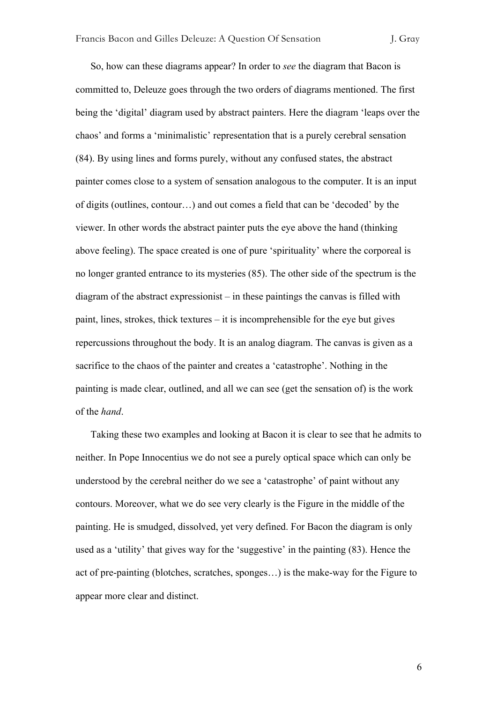So, how can these diagrams appear? In order to *see* the diagram that Bacon is committed to, Deleuze goes through the two orders of diagrams mentioned. The first being the 'digital' diagram used by abstract painters. Here the diagram 'leaps over the chaos' and forms a 'minimalistic' representation that is a purely cerebral sensation (84). By using lines and forms purely, without any confused states, the abstract painter comes close to a system of sensation analogous to the computer. It is an input of digits (outlines, contour…) and out comes a field that can be 'decoded' by the viewer. In other words the abstract painter puts the eye above the hand (thinking above feeling). The space created is one of pure 'spirituality' where the corporeal is no longer granted entrance to its mysteries (85). The other side of the spectrum is the diagram of the abstract expressionist – in these paintings the canvas is filled with paint, lines, strokes, thick textures – it is incomprehensible for the eye but gives repercussions throughout the body. It is an analog diagram. The canvas is given as a sacrifice to the chaos of the painter and creates a 'catastrophe'. Nothing in the painting is made clear, outlined, and all we can see (get the sensation of) is the work of the *hand*.

Taking these two examples and looking at Bacon it is clear to see that he admits to neither. In Pope Innocentius we do not see a purely optical space which can only be understood by the cerebral neither do we see a 'catastrophe' of paint without any contours. Moreover, what we do see very clearly is the Figure in the middle of the painting. He is smudged, dissolved, yet very defined. For Bacon the diagram is only used as a 'utility' that gives way for the 'suggestive' in the painting (83). Hence the act of pre-painting (blotches, scratches, sponges…) is the make-way for the Figure to appear more clear and distinct.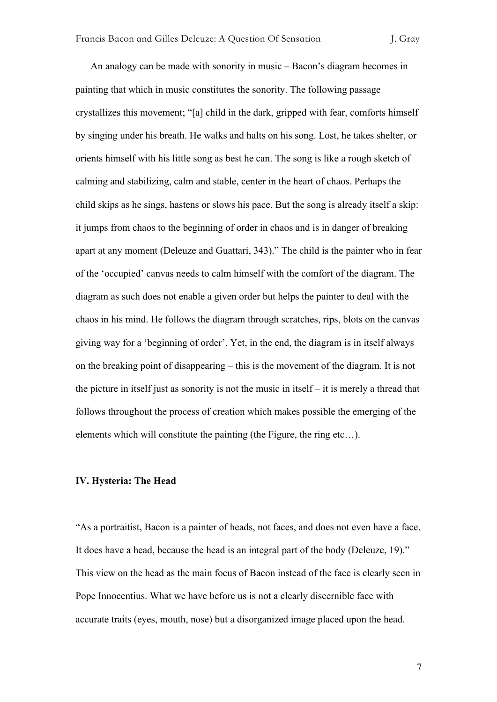An analogy can be made with sonority in music – Bacon's diagram becomes in painting that which in music constitutes the sonority. The following passage crystallizes this movement; "[a] child in the dark, gripped with fear, comforts himself by singing under his breath. He walks and halts on his song. Lost, he takes shelter, or orients himself with his little song as best he can. The song is like a rough sketch of calming and stabilizing, calm and stable, center in the heart of chaos. Perhaps the child skips as he sings, hastens or slows his pace. But the song is already itself a skip: it jumps from chaos to the beginning of order in chaos and is in danger of breaking apart at any moment (Deleuze and Guattari, 343)." The child is the painter who in fear of the 'occupied' canvas needs to calm himself with the comfort of the diagram. The diagram as such does not enable a given order but helps the painter to deal with the chaos in his mind. He follows the diagram through scratches, rips, blots on the canvas giving way for a 'beginning of order'. Yet, in the end, the diagram is in itself always on the breaking point of disappearing – this is the movement of the diagram. It is not the picture in itself just as sonority is not the music in itself – it is merely a thread that follows throughout the process of creation which makes possible the emerging of the elements which will constitute the painting (the Figure, the ring etc…).

# **IV. Hysteria: The Head**

"As a portraitist, Bacon is a painter of heads, not faces, and does not even have a face. It does have a head, because the head is an integral part of the body (Deleuze, 19)." This view on the head as the main focus of Bacon instead of the face is clearly seen in Pope Innocentius. What we have before us is not a clearly discernible face with accurate traits (eyes, mouth, nose) but a disorganized image placed upon the head.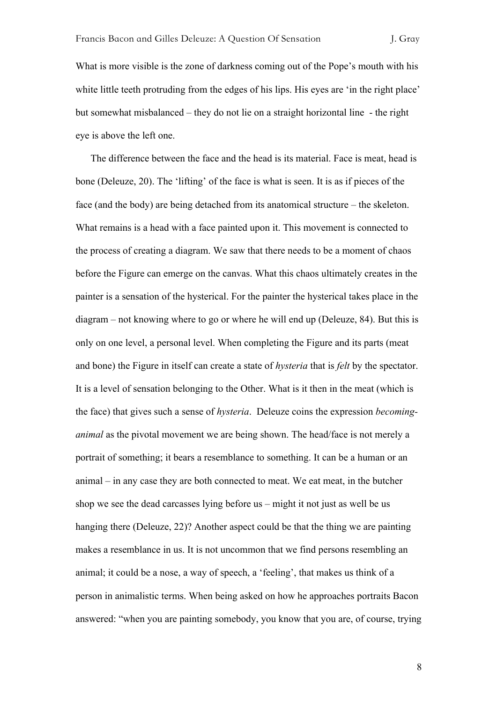What is more visible is the zone of darkness coming out of the Pope's mouth with his white little teeth protruding from the edges of his lips. His eyes are 'in the right place' but somewhat misbalanced – they do not lie on a straight horizontal line - the right eye is above the left one.

The difference between the face and the head is its material. Face is meat, head is bone (Deleuze, 20). The 'lifting' of the face is what is seen. It is as if pieces of the face (and the body) are being detached from its anatomical structure – the skeleton. What remains is a head with a face painted upon it. This movement is connected to the process of creating a diagram. We saw that there needs to be a moment of chaos before the Figure can emerge on the canvas. What this chaos ultimately creates in the painter is a sensation of the hysterical. For the painter the hysterical takes place in the diagram – not knowing where to go or where he will end up (Deleuze, 84). But this is only on one level, a personal level. When completing the Figure and its parts (meat and bone) the Figure in itself can create a state of *hysteria* that is *felt* by the spectator. It is a level of sensation belonging to the Other. What is it then in the meat (which is the face) that gives such a sense of *hysteria*. Deleuze coins the expression *becominganimal* as the pivotal movement we are being shown. The head/face is not merely a portrait of something; it bears a resemblance to something. It can be a human or an animal – in any case they are both connected to meat. We eat meat, in the butcher shop we see the dead carcasses lying before us – might it not just as well be us hanging there (Deleuze, 22)? Another aspect could be that the thing we are painting makes a resemblance in us. It is not uncommon that we find persons resembling an animal; it could be a nose, a way of speech, a 'feeling', that makes us think of a person in animalistic terms. When being asked on how he approaches portraits Bacon answered: "when you are painting somebody, you know that you are, of course, trying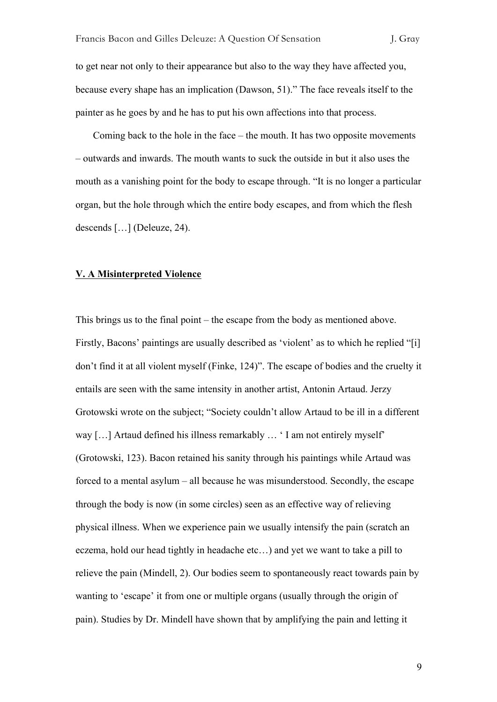to get near not only to their appearance but also to the way they have affected you, because every shape has an implication (Dawson, 51)." The face reveals itself to the painter as he goes by and he has to put his own affections into that process.

Coming back to the hole in the face – the mouth. It has two opposite movements – outwards and inwards. The mouth wants to suck the outside in but it also uses the mouth as a vanishing point for the body to escape through. "It is no longer a particular organ, but the hole through which the entire body escapes, and from which the flesh descends […] (Deleuze, 24).

# **V. A Misinterpreted Violence**

This brings us to the final point – the escape from the body as mentioned above. Firstly, Bacons' paintings are usually described as 'violent' as to which he replied "[i] don't find it at all violent myself (Finke, 124)". The escape of bodies and the cruelty it entails are seen with the same intensity in another artist, Antonin Artaud. Jerzy Grotowski wrote on the subject; "Society couldn't allow Artaud to be ill in a different way [...] Artaud defined his illness remarkably ... 'I am not entirely myself' (Grotowski, 123). Bacon retained his sanity through his paintings while Artaud was forced to a mental asylum – all because he was misunderstood. Secondly, the escape through the body is now (in some circles) seen as an effective way of relieving physical illness. When we experience pain we usually intensify the pain (scratch an eczema, hold our head tightly in headache etc…) and yet we want to take a pill to relieve the pain (Mindell, 2). Our bodies seem to spontaneously react towards pain by wanting to 'escape' it from one or multiple organs (usually through the origin of pain). Studies by Dr. Mindell have shown that by amplifying the pain and letting it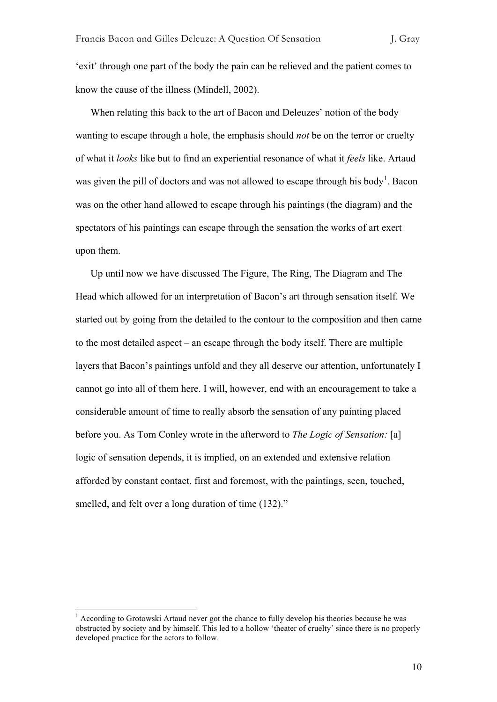'exit' through one part of the body the pain can be relieved and the patient comes to know the cause of the illness (Mindell, 2002).

When relating this back to the art of Bacon and Deleuzes' notion of the body wanting to escape through a hole, the emphasis should *not* be on the terror or cruelty of what it *looks* like but to find an experiential resonance of what it *feels* like. Artaud was given the pill of doctors and was not allowed to escape through his body<sup>1</sup>. Bacon was on the other hand allowed to escape through his paintings (the diagram) and the spectators of his paintings can escape through the sensation the works of art exert upon them.

Up until now we have discussed The Figure, The Ring, The Diagram and The Head which allowed for an interpretation of Bacon's art through sensation itself. We started out by going from the detailed to the contour to the composition and then came to the most detailed aspect – an escape through the body itself. There are multiple layers that Bacon's paintings unfold and they all deserve our attention, unfortunately I cannot go into all of them here. I will, however, end with an encouragement to take a considerable amount of time to really absorb the sensation of any painting placed before you. As Tom Conley wrote in the afterword to *The Logic of Sensation:* [a] logic of sensation depends, it is implied, on an extended and extensive relation afforded by constant contact, first and foremost, with the paintings, seen, touched, smelled, and felt over a long duration of time  $(132)$ ."

<sup>&</sup>lt;sup>1</sup> According to Grotowski Artaud never got the chance to fully develop his theories because he was obstructed by society and by himself. This led to a hollow 'theater of cruelty' since there is no properly developed practice for the actors to follow.